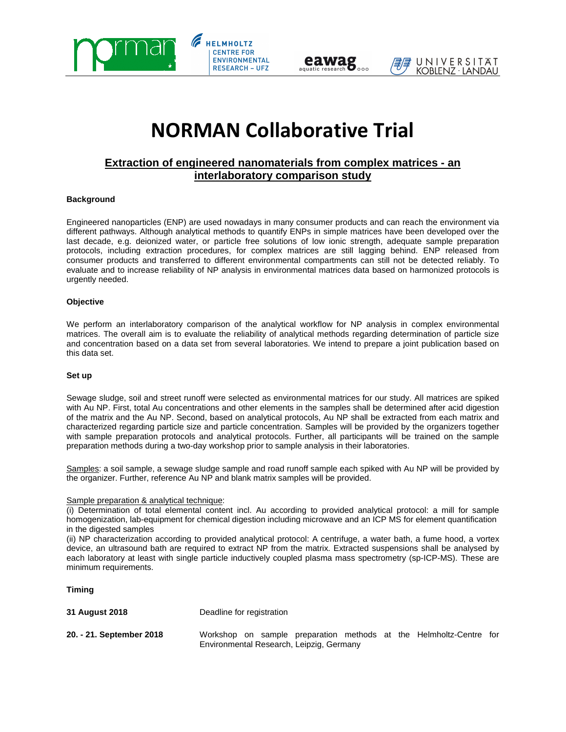



# **NORMAN Collaborative Trial**

# **Extraction of engineered nanomaterials from complex matrices - an interlaboratory comparison study**

## **Background**

Engineered nanoparticles (ENP) are used nowadays in many consumer products and can reach the environment via different pathways. Although analytical methods to quantify ENPs in simple matrices have been developed over the last decade, e.g. deionized water, or particle free solutions of low ionic strength, adequate sample preparation protocols, including extraction procedures, for complex matrices are still lagging behind. ENP released from consumer products and transferred to different environmental compartments can still not be detected reliably. To evaluate and to increase reliability of NP analysis in environmental matrices data based on harmonized protocols is urgently needed.

#### **Objective**

We perform an interlaboratory comparison of the analytical workflow for NP analysis in complex environmental matrices. The overall aim is to evaluate the reliability of analytical methods regarding determination of particle size and concentration based on a data set from several laboratories. We intend to prepare a joint publication based on this data set.

#### **Set up**

Sewage sludge, soil and street runoff were selected as environmental matrices for our study. All matrices are spiked with Au NP. First, total Au concentrations and other elements in the samples shall be determined after acid digestion of the matrix and the Au NP. Second, based on analytical protocols, Au NP shall be extracted from each matrix and characterized regarding particle size and particle concentration. Samples will be provided by the organizers together with sample preparation protocols and analytical protocols. Further, all participants will be trained on the sample preparation methods during a two-day workshop prior to sample analysis in their laboratories.

Samples: a soil sample, a sewage sludge sample and road runoff sample each spiked with Au NP will be provided by the organizer. Further, reference Au NP and blank matrix samples will be provided.

#### Sample preparation & analytical technique:

(i) Determination of total elemental content incl. Au according to provided analytical protocol: a mill for sample homogenization, lab-equipment for chemical digestion including microwave and an ICP MS for element quantification in the digested samples

(ii) NP characterization according to provided analytical protocol: A centrifuge, a water bath, a fume hood, a vortex device, an ultrasound bath are required to extract NP from the matrix. Extracted suspensions shall be analysed by each laboratory at least with single particle inductively coupled plasma mass spectrometry (sp-ICP-MS). These are minimum requirements.

**Timing** 

| 31 August 2018           | Deadline for registration                                                                                      |
|--------------------------|----------------------------------------------------------------------------------------------------------------|
| 20. - 21. September 2018 | Workshop on sample preparation methods at the Helmholtz-Centre for<br>Environmental Research, Leipzig, Germany |